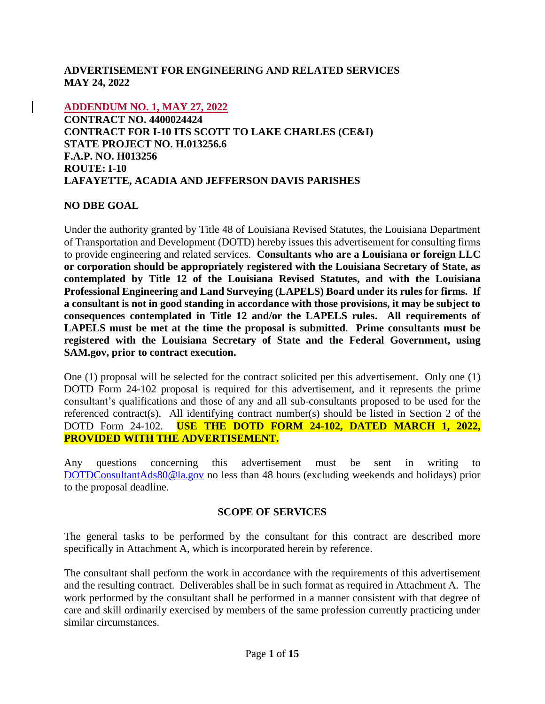### **ADVERTISEMENT FOR ENGINEERING AND RELATED SERVICES MAY 24, 2022**

**ADDENDUM NO. 1, MAY 27, 2022**

**CONTRACT NO. 4400024424 CONTRACT FOR I-10 ITS SCOTT TO LAKE CHARLES (CE&I) STATE PROJECT NO. H.013256.6 F.A.P. NO. H013256 ROUTE: I-10 LAFAYETTE, ACADIA AND JEFFERSON DAVIS PARISHES**

### **NO DBE GOAL**

Under the authority granted by Title 48 of Louisiana Revised Statutes, the Louisiana Department of Transportation and Development (DOTD) hereby issues this advertisement for consulting firms to provide engineering and related services. **Consultants who are a Louisiana or foreign LLC or corporation should be appropriately registered with the Louisiana Secretary of State, as contemplated by Title 12 of the Louisiana Revised Statutes, and with the Louisiana Professional Engineering and Land Surveying (LAPELS) Board under its rules for firms. If a consultant is not in good standing in accordance with those provisions, it may be subject to consequences contemplated in Title 12 and/or the LAPELS rules. All requirements of LAPELS must be met at the time the proposal is submitted**. **Prime consultants must be registered with the Louisiana Secretary of State and the Federal Government, using SAM.gov, prior to contract execution.** 

One (1) proposal will be selected for the contract solicited per this advertisement. Only one (1) DOTD Form 24-102 proposal is required for this advertisement, and it represents the prime consultant's qualifications and those of any and all sub-consultants proposed to be used for the referenced contract(s). All identifying contract number(s) should be listed in Section 2 of the DOTD Form 24-102. **USE THE DOTD FORM 24-102, DATED MARCH 1, 2022, PROVIDED WITH THE ADVERTISEMENT.**

Any questions concerning this advertisement must be sent in writing to [DOTDConsultantAds80@la.gov](mailto:DOTDConsultantAds80@la.gov) no less than 48 hours (excluding weekends and holidays) prior to the proposal deadline.

### **SCOPE OF SERVICES**

The general tasks to be performed by the consultant for this contract are described more specifically in Attachment A, which is incorporated herein by reference.

The consultant shall perform the work in accordance with the requirements of this advertisement and the resulting contract. Deliverables shall be in such format as required in Attachment A. The work performed by the consultant shall be performed in a manner consistent with that degree of care and skill ordinarily exercised by members of the same profession currently practicing under similar circumstances.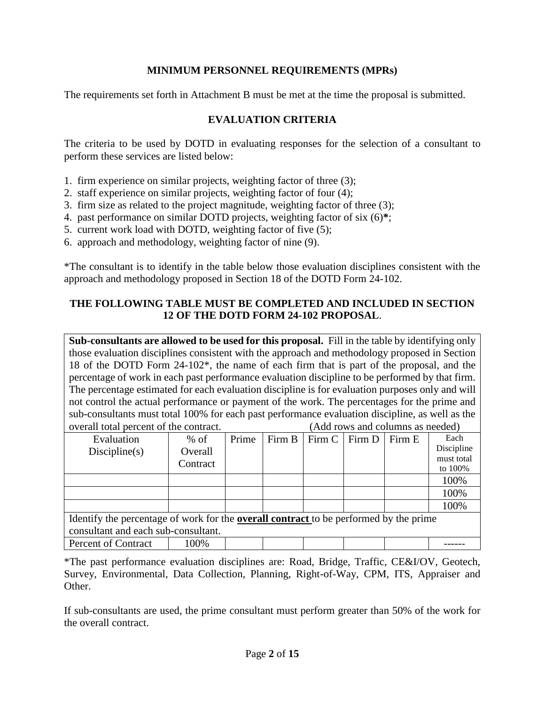### **MINIMUM PERSONNEL REQUIREMENTS (MPRs)**

The requirements set forth in Attachment B must be met at the time the proposal is submitted.

### **EVALUATION CRITERIA**

The criteria to be used by DOTD in evaluating responses for the selection of a consultant to perform these services are listed below:

- 1. firm experience on similar projects, weighting factor of three (3);
- 2. staff experience on similar projects, weighting factor of four (4);
- 3. firm size as related to the project magnitude, weighting factor of three (3);
- 4. past performance on similar DOTD projects, weighting factor of six (6)**\***;
- 5. current work load with DOTD, weighting factor of five (5);
- 6. approach and methodology, weighting factor of nine (9).

\*The consultant is to identify in the table below those evaluation disciplines consistent with the approach and methodology proposed in Section 18 of the DOTD Form 24-102.

### **THE FOLLOWING TABLE MUST BE COMPLETED AND INCLUDED IN SECTION 12 OF THE DOTD FORM 24-102 PROPOSAL**.

**Sub-consultants are allowed to be used for this proposal.** Fill in the table by identifying only those evaluation disciplines consistent with the approach and methodology proposed in Section 18 of the DOTD Form 24-102\*, the name of each firm that is part of the proposal, and the percentage of work in each past performance evaluation discipline to be performed by that firm. The percentage estimated for each evaluation discipline is for evaluation purposes only and will not control the actual performance or payment of the work. The percentages for the prime and sub-consultants must total 100% for each past performance evaluation discipline, as well as the overall total percent of the contract. (Add rows and columns as needed)

| Evaluation                                                                                   | $%$ of   | Prime |  | Firm B   Firm C   Firm D |  | Firm E | Each       |
|----------------------------------------------------------------------------------------------|----------|-------|--|--------------------------|--|--------|------------|
| Discpline(s)                                                                                 | Overall  |       |  |                          |  |        | Discipline |
|                                                                                              |          |       |  |                          |  |        | must total |
|                                                                                              | Contract |       |  |                          |  |        | to 100%    |
|                                                                                              |          |       |  |                          |  |        |            |
|                                                                                              |          |       |  |                          |  |        | 100%       |
|                                                                                              |          |       |  |                          |  |        | 100%       |
|                                                                                              |          |       |  |                          |  |        | 100%       |
| Identify the percentage of work for the <b>overall contract</b> to be performed by the prime |          |       |  |                          |  |        |            |
| consultant and each sub-consultant.                                                          |          |       |  |                          |  |        |            |
| Percent of Contract                                                                          | 100%     |       |  |                          |  |        |            |

\*The past performance evaluation disciplines are: Road, Bridge, Traffic, CE&I/OV, Geotech, Survey, Environmental, Data Collection, Planning, Right-of-Way, CPM, ITS, Appraiser and Other.

If sub-consultants are used, the prime consultant must perform greater than 50% of the work for the overall contract.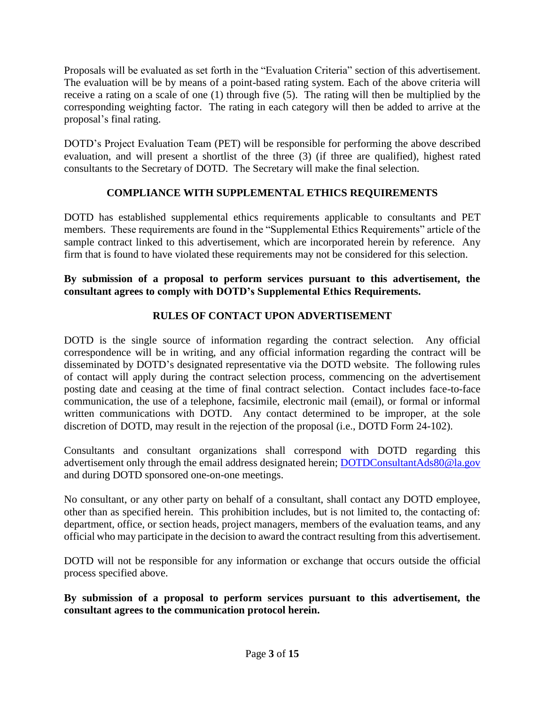Proposals will be evaluated as set forth in the "Evaluation Criteria" section of this advertisement. The evaluation will be by means of a point-based rating system. Each of the above criteria will receive a rating on a scale of one (1) through five (5). The rating will then be multiplied by the corresponding weighting factor. The rating in each category will then be added to arrive at the proposal's final rating.

DOTD's Project Evaluation Team (PET) will be responsible for performing the above described evaluation, and will present a shortlist of the three (3) (if three are qualified), highest rated consultants to the Secretary of DOTD. The Secretary will make the final selection.

## **COMPLIANCE WITH SUPPLEMENTAL ETHICS REQUIREMENTS**

DOTD has established supplemental ethics requirements applicable to consultants and PET members. These requirements are found in the "Supplemental Ethics Requirements" article of the sample contract linked to this advertisement, which are incorporated herein by reference. Any firm that is found to have violated these requirements may not be considered for this selection.

### **By submission of a proposal to perform services pursuant to this advertisement, the consultant agrees to comply with DOTD's Supplemental Ethics Requirements.**

# **RULES OF CONTACT UPON ADVERTISEMENT**

DOTD is the single source of information regarding the contract selection. Any official correspondence will be in writing, and any official information regarding the contract will be disseminated by DOTD's designated representative via the DOTD website. The following rules of contact will apply during the contract selection process, commencing on the advertisement posting date and ceasing at the time of final contract selection. Contact includes face-to-face communication, the use of a telephone, facsimile, electronic mail (email), or formal or informal written communications with DOTD. Any contact determined to be improper, at the sole discretion of DOTD, may result in the rejection of the proposal (i.e., DOTD Form 24-102).

Consultants and consultant organizations shall correspond with DOTD regarding this advertisement only through the email address designated herein; [DOTDConsultantAds80@la.gov](mailto:DOTDConsultantAds80@la.gov) and during DOTD sponsored one-on-one meetings.

No consultant, or any other party on behalf of a consultant, shall contact any DOTD employee, other than as specified herein. This prohibition includes, but is not limited to, the contacting of: department, office, or section heads, project managers, members of the evaluation teams, and any official who may participate in the decision to award the contract resulting from this advertisement.

DOTD will not be responsible for any information or exchange that occurs outside the official process specified above.

**By submission of a proposal to perform services pursuant to this advertisement, the consultant agrees to the communication protocol herein.**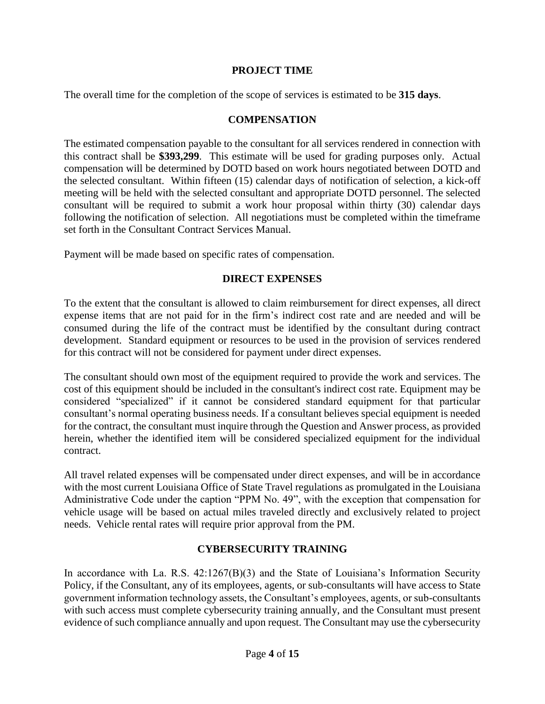### **PROJECT TIME**

The overall time for the completion of the scope of services is estimated to be **315 days**.

#### **COMPENSATION**

The estimated compensation payable to the consultant for all services rendered in connection with this contract shall be **\$393,299**. This estimate will be used for grading purposes only. Actual compensation will be determined by DOTD based on work hours negotiated between DOTD and the selected consultant. Within fifteen (15) calendar days of notification of selection, a kick-off meeting will be held with the selected consultant and appropriate DOTD personnel. The selected consultant will be required to submit a work hour proposal within thirty (30) calendar days following the notification of selection. All negotiations must be completed within the timeframe set forth in the Consultant Contract Services Manual.

Payment will be made based on specific rates of compensation.

### **DIRECT EXPENSES**

To the extent that the consultant is allowed to claim reimbursement for direct expenses, all direct expense items that are not paid for in the firm's indirect cost rate and are needed and will be consumed during the life of the contract must be identified by the consultant during contract development. Standard equipment or resources to be used in the provision of services rendered for this contract will not be considered for payment under direct expenses.

The consultant should own most of the equipment required to provide the work and services. The cost of this equipment should be included in the consultant's indirect cost rate. Equipment may be considered "specialized" if it cannot be considered standard equipment for that particular consultant's normal operating business needs. If a consultant believes special equipment is needed for the contract, the consultant must inquire through the Question and Answer process, as provided herein, whether the identified item will be considered specialized equipment for the individual contract.

All travel related expenses will be compensated under direct expenses, and will be in accordance with the most current Louisiana Office of State Travel regulations as promulgated in the Louisiana Administrative Code under the caption "PPM No. 49", with the exception that compensation for vehicle usage will be based on actual miles traveled directly and exclusively related to project needs. Vehicle rental rates will require prior approval from the PM.

### **CYBERSECURITY TRAINING**

In accordance with La. R.S.  $42:1267(B)(3)$  and the State of Louisiana's Information Security Policy, if the Consultant, any of its employees, agents, or sub-consultants will have access to State government information technology assets, the Consultant's employees, agents, or sub-consultants with such access must complete cybersecurity training annually, and the Consultant must present evidence of such compliance annually and upon request. The Consultant may use the cybersecurity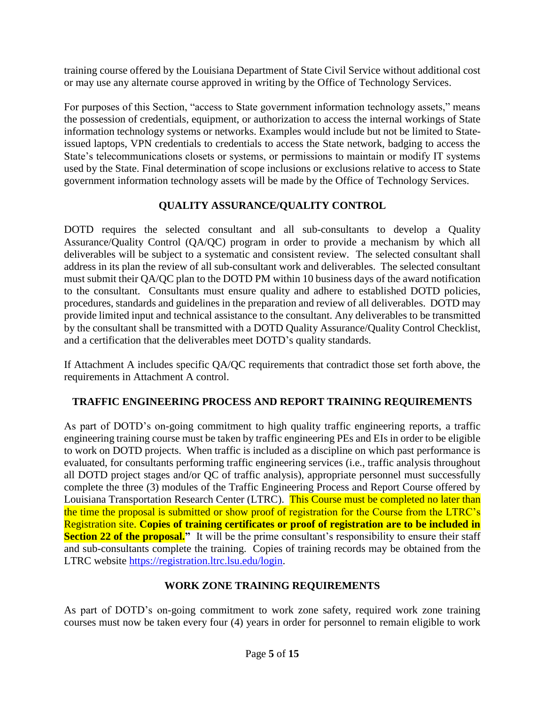training course offered by the Louisiana Department of State Civil Service without additional cost or may use any alternate course approved in writing by the Office of Technology Services.

For purposes of this Section, "access to State government information technology assets," means the possession of credentials, equipment, or authorization to access the internal workings of State information technology systems or networks. Examples would include but not be limited to Stateissued laptops, VPN credentials to credentials to access the State network, badging to access the State's telecommunications closets or systems, or permissions to maintain or modify IT systems used by the State. Final determination of scope inclusions or exclusions relative to access to State government information technology assets will be made by the Office of Technology Services.

## **QUALITY ASSURANCE/QUALITY CONTROL**

DOTD requires the selected consultant and all sub-consultants to develop a Quality Assurance/Quality Control (QA/QC) program in order to provide a mechanism by which all deliverables will be subject to a systematic and consistent review. The selected consultant shall address in its plan the review of all sub-consultant work and deliverables. The selected consultant must submit their QA/QC plan to the DOTD PM within 10 business days of the award notification to the consultant. Consultants must ensure quality and adhere to established DOTD policies, procedures, standards and guidelines in the preparation and review of all deliverables. DOTD may provide limited input and technical assistance to the consultant. Any deliverables to be transmitted by the consultant shall be transmitted with a DOTD Quality Assurance/Quality Control Checklist, and a certification that the deliverables meet DOTD's quality standards.

If Attachment A includes specific QA/QC requirements that contradict those set forth above, the requirements in Attachment A control.

### **TRAFFIC ENGINEERING PROCESS AND REPORT TRAINING REQUIREMENTS**

As part of DOTD's on-going commitment to high quality traffic engineering reports, a traffic engineering training course must be taken by traffic engineering PEs and EIs in order to be eligible to work on DOTD projects. When traffic is included as a discipline on which past performance is evaluated, for consultants performing traffic engineering services (i.e., traffic analysis throughout all DOTD project stages and/or QC of traffic analysis), appropriate personnel must successfully complete the three (3) modules of the Traffic Engineering Process and Report Course offered by Louisiana Transportation Research Center (LTRC). This Course must be completed no later than the time the proposal is submitted or show proof of registration for the Course from the LTRC's Registration site. **Copies of training certificates or proof of registration are to be included in Section 22 of the proposal.**" It will be the prime consultant's responsibility to ensure their staff and sub-consultants complete the training. Copies of training records may be obtained from the LTRC website [https://registration.ltrc.lsu.edu/login.](https://registration.ltrc.lsu.edu/login)

### **WORK ZONE TRAINING REQUIREMENTS**

As part of DOTD's on-going commitment to work zone safety, required work zone training courses must now be taken every four (4) years in order for personnel to remain eligible to work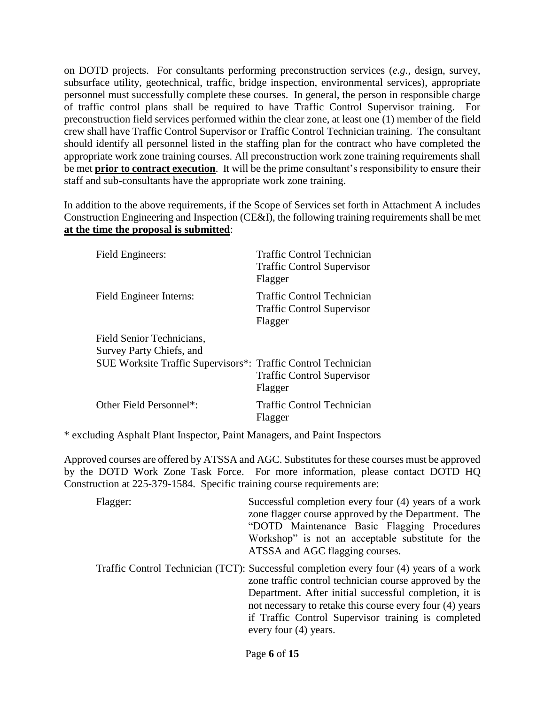on DOTD projects. For consultants performing preconstruction services (*e.g.*, design, survey, subsurface utility, geotechnical, traffic, bridge inspection, environmental services), appropriate personnel must successfully complete these courses. In general, the person in responsible charge of traffic control plans shall be required to have Traffic Control Supervisor training. For preconstruction field services performed within the clear zone, at least one (1) member of the field crew shall have Traffic Control Supervisor or Traffic Control Technician training. The consultant should identify all personnel listed in the staffing plan for the contract who have completed the appropriate work zone training courses. All preconstruction work zone training requirements shall be met **prior to contract execution**. It will be the prime consultant's responsibility to ensure their staff and sub-consultants have the appropriate work zone training.

In addition to the above requirements, if the Scope of Services set forth in Attachment A includes Construction Engineering and Inspection (CE&I), the following training requirements shall be met **at the time the proposal is submitted**:

| Field Engineers:                                              | Traffic Control Technician<br><b>Traffic Control Supervisor</b><br>Flagger        |
|---------------------------------------------------------------|-----------------------------------------------------------------------------------|
| Field Engineer Interns:                                       | <b>Traffic Control Technician</b><br><b>Traffic Control Supervisor</b><br>Flagger |
| Field Senior Technicians,                                     |                                                                                   |
| Survey Party Chiefs, and                                      |                                                                                   |
| SUE Worksite Traffic Supervisors*: Traffic Control Technician | <b>Traffic Control Supervisor</b><br>Flagger                                      |
| Other Field Personnel*:                                       | <b>Traffic Control Technician</b><br>Flagger                                      |

\* excluding Asphalt Plant Inspector, Paint Managers, and Paint Inspectors

Approved courses are offered by ATSSA and AGC. Substitutes for these courses must be approved by the DOTD Work Zone Task Force. For more information, please contact DOTD HQ Construction at 225-379-1584. Specific training course requirements are:

| Flagger: | Successful completion every four (4) years of a work<br>zone flagger course approved by the Department. The<br>"DOTD Maintenance Basic Flagging Procedures<br>Workshop" is not an acceptable substitute for the<br>ATSSA and AGC flagging courses.                                                                                                     |
|----------|--------------------------------------------------------------------------------------------------------------------------------------------------------------------------------------------------------------------------------------------------------------------------------------------------------------------------------------------------------|
|          | Traffic Control Technician (TCT): Successful completion every four (4) years of a work<br>zone traffic control technician course approved by the<br>Department. After initial successful completion, it is<br>not necessary to retake this course every four (4) years<br>if Traffic Control Supervisor training is completed<br>every four (4) years. |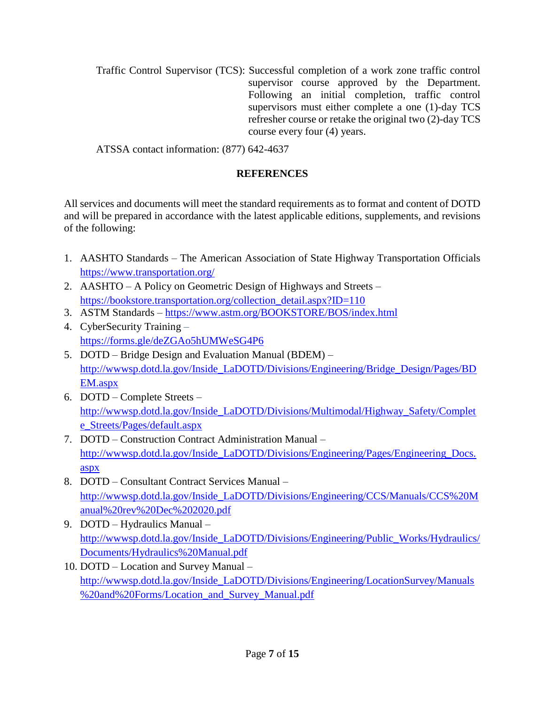Traffic Control Supervisor (TCS): Successful completion of a work zone traffic control supervisor course approved by the Department. Following an initial completion, traffic control supervisors must either complete a one (1)-day TCS refresher course or retake the original two (2)-day TCS course every four (4) years.

ATSSA contact information: (877) 642-4637

## **REFERENCES**

All services and documents will meet the standard requirements as to format and content of DOTD and will be prepared in accordance with the latest applicable editions, supplements, and revisions of the following:

- 1. AASHTO Standards The American Association of State Highway Transportation Officials <https://www.transportation.org/>
- 2. AASHTO A Policy on Geometric Design of Highways and Streets [https://bookstore.transportation.org/collection\\_detail.aspx?ID=110](https://bookstore.transportation.org/collection_detail.aspx?ID=110)
- 3. ASTM Standards <https://www.astm.org/BOOKSTORE/BOS/index.html>
- 4. CyberSecurity Training <https://forms.gle/deZGAo5hUMWeSG4P6>
- 5. DOTD Bridge Design and Evaluation Manual (BDEM) [http://wwwsp.dotd.la.gov/Inside\\_LaDOTD/Divisions/Engineering/Bridge\\_Design/Pages/BD](http://wwwsp.dotd.la.gov/Inside_LaDOTD/Divisions/Engineering/Bridge_Design/Pages/BDEM.aspx) [EM.aspx](http://wwwsp.dotd.la.gov/Inside_LaDOTD/Divisions/Engineering/Bridge_Design/Pages/BDEM.aspx)
- 6. DOTD Complete Streets [http://wwwsp.dotd.la.gov/Inside\\_LaDOTD/Divisions/Multimodal/Highway\\_Safety/Complet](http://wwwsp.dotd.la.gov/Inside_LaDOTD/Divisions/Multimodal/Highway_Safety/Complete_Streets/Pages/default.aspx) [e\\_Streets/Pages/default.aspx](http://wwwsp.dotd.la.gov/Inside_LaDOTD/Divisions/Multimodal/Highway_Safety/Complete_Streets/Pages/default.aspx)
- 7. DOTD Construction Contract Administration Manual [http://wwwsp.dotd.la.gov/Inside\\_LaDOTD/Divisions/Engineering/Pages/Engineering\\_Docs.](http://wwwsp.dotd.la.gov/Inside_LaDOTD/Divisions/Engineering/Pages/Engineering_Docs.aspx) [aspx](http://wwwsp.dotd.la.gov/Inside_LaDOTD/Divisions/Engineering/Pages/Engineering_Docs.aspx)
- 8. DOTD Consultant Contract Services Manual [http://wwwsp.dotd.la.gov/Inside\\_LaDOTD/Divisions/Engineering/CCS/Manuals/CCS%20M](http://wwwsp.dotd.la.gov/Inside_LaDOTD/Divisions/Engineering/CCS/Manuals/CCS%20Manual%20rev%20Dec%202020.pdf) [anual%20rev%20Dec%202020.pdf](http://wwwsp.dotd.la.gov/Inside_LaDOTD/Divisions/Engineering/CCS/Manuals/CCS%20Manual%20rev%20Dec%202020.pdf)
- 9. DOTD Hydraulics Manual [http://wwwsp.dotd.la.gov/Inside\\_LaDOTD/Divisions/Engineering/Public\\_Works/Hydraulics/](http://wwwsp.dotd.la.gov/Inside_LaDOTD/Divisions/Engineering/Public_Works/Hydraulics/Documents/Hydraulics%20Manual.pdf) [Documents/Hydraulics%20Manual.pdf](http://wwwsp.dotd.la.gov/Inside_LaDOTD/Divisions/Engineering/Public_Works/Hydraulics/Documents/Hydraulics%20Manual.pdf)
- 10. DOTD Location and Survey Manual [http://wwwsp.dotd.la.gov/Inside\\_LaDOTD/Divisions/Engineering/LocationSurvey/Manuals](http://wwwsp.dotd.la.gov/Inside_LaDOTD/Divisions/Engineering/LocationSurvey/Manuals%20and%20Forms/Location_and_Survey_Manual.pdf) [%20and%20Forms/Location\\_and\\_Survey\\_Manual.pdf](http://wwwsp.dotd.la.gov/Inside_LaDOTD/Divisions/Engineering/LocationSurvey/Manuals%20and%20Forms/Location_and_Survey_Manual.pdf)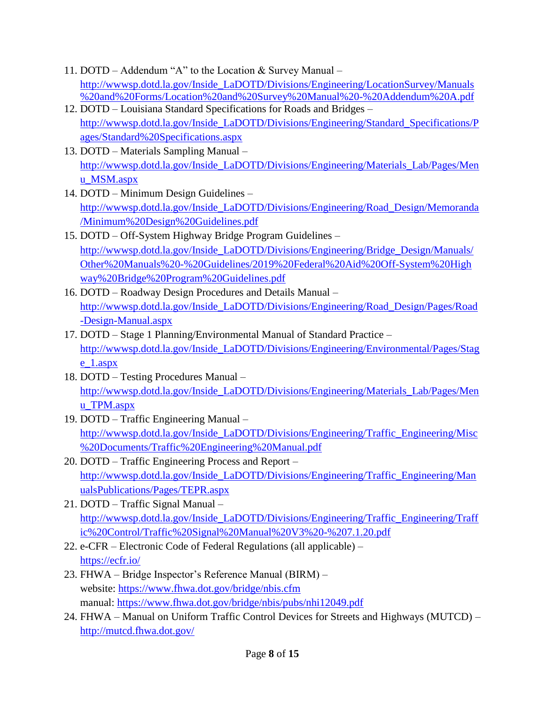- 11. DOTD Addendum "A" to the Location & Survey Manual [http://wwwsp.dotd.la.gov/Inside\\_LaDOTD/Divisions/Engineering/LocationSurvey/Manuals](http://wwwsp.dotd.la.gov/Inside_LaDOTD/Divisions/Engineering/LocationSurvey/Manuals%20and%20Forms/Location%20and%20Survey%20Manual%20-%20Addendum%20A.pdf) [%20and%20Forms/Location%20and%20Survey%20Manual%20-%20Addendum%20A.pdf](http://wwwsp.dotd.la.gov/Inside_LaDOTD/Divisions/Engineering/LocationSurvey/Manuals%20and%20Forms/Location%20and%20Survey%20Manual%20-%20Addendum%20A.pdf)
- 12. DOTD Louisiana Standard Specifications for Roads and Bridges [http://wwwsp.dotd.la.gov/Inside\\_LaDOTD/Divisions/Engineering/Standard\\_Specifications/P](http://wwwsp.dotd.la.gov/Inside_LaDOTD/Divisions/Engineering/Standard_Specifications/Pages/Standard%20Specifications.aspx) [ages/Standard%20Specifications.aspx](http://wwwsp.dotd.la.gov/Inside_LaDOTD/Divisions/Engineering/Standard_Specifications/Pages/Standard%20Specifications.aspx)
- 13. DOTD Materials Sampling Manual [http://wwwsp.dotd.la.gov/Inside\\_LaDOTD/Divisions/Engineering/Materials\\_Lab/Pages/Men](http://wwwsp.dotd.la.gov/Inside_LaDOTD/Divisions/Engineering/Materials_Lab/Pages/Menu_MSM.aspx) [u\\_MSM.aspx](http://wwwsp.dotd.la.gov/Inside_LaDOTD/Divisions/Engineering/Materials_Lab/Pages/Menu_MSM.aspx)
- 14. DOTD Minimum Design Guidelines [http://wwwsp.dotd.la.gov/Inside\\_LaDOTD/Divisions/Engineering/Road\\_Design/Memoranda](http://wwwsp.dotd.la.gov/Inside_LaDOTD/Divisions/Engineering/Road_Design/Memoranda/Minimum%20Design%20Guidelines.pdf) [/Minimum%20Design%20Guidelines.pdf](http://wwwsp.dotd.la.gov/Inside_LaDOTD/Divisions/Engineering/Road_Design/Memoranda/Minimum%20Design%20Guidelines.pdf)
- 15. DOTD Off-System Highway Bridge Program Guidelines [http://wwwsp.dotd.la.gov/Inside\\_LaDOTD/Divisions/Engineering/Bridge\\_Design/Manuals/](http://wwwsp.dotd.la.gov/Inside_LaDOTD/Divisions/Engineering/Bridge_Design/Manuals/Other%20Manuals%20-%20Guidelines/2019%20Federal%20Aid%20Off-System%20Highway%20Bridge%20Program%20Guidelines.pdf) [Other%20Manuals%20-%20Guidelines/2019%20Federal%20Aid%20Off-System%20High](http://wwwsp.dotd.la.gov/Inside_LaDOTD/Divisions/Engineering/Bridge_Design/Manuals/Other%20Manuals%20-%20Guidelines/2019%20Federal%20Aid%20Off-System%20Highway%20Bridge%20Program%20Guidelines.pdf) [way%20Bridge%20Program%20Guidelines.pdf](http://wwwsp.dotd.la.gov/Inside_LaDOTD/Divisions/Engineering/Bridge_Design/Manuals/Other%20Manuals%20-%20Guidelines/2019%20Federal%20Aid%20Off-System%20Highway%20Bridge%20Program%20Guidelines.pdf)
- 16. DOTD Roadway Design Procedures and Details Manual [http://wwwsp.dotd.la.gov/Inside\\_LaDOTD/Divisions/Engineering/Road\\_Design/Pages/Road](http://wwwsp.dotd.la.gov/Inside_LaDOTD/Divisions/Engineering/Road_Design/Pages/Road-Design-Manual.aspx) [-Design-Manual.aspx](http://wwwsp.dotd.la.gov/Inside_LaDOTD/Divisions/Engineering/Road_Design/Pages/Road-Design-Manual.aspx)
- 17. DOTD Stage 1 Planning/Environmental Manual of Standard Practice [http://wwwsp.dotd.la.gov/Inside\\_LaDOTD/Divisions/Engineering/Environmental/Pages/Stag](http://wwwsp.dotd.la.gov/Inside_LaDOTD/Divisions/Engineering/Environmental/Pages/Stage_1.aspx) [e\\_1.aspx](http://wwwsp.dotd.la.gov/Inside_LaDOTD/Divisions/Engineering/Environmental/Pages/Stage_1.aspx)
- 18. DOTD Testing Procedures Manual [http://wwwsp.dotd.la.gov/Inside\\_LaDOTD/Divisions/Engineering/Materials\\_Lab/Pages/Men](http://wwwsp.dotd.la.gov/Inside_LaDOTD/Divisions/Engineering/Materials_Lab/Pages/Menu_TPM.aspx) [u\\_TPM.aspx](http://wwwsp.dotd.la.gov/Inside_LaDOTD/Divisions/Engineering/Materials_Lab/Pages/Menu_TPM.aspx)
- 19. DOTD Traffic Engineering Manual [http://wwwsp.dotd.la.gov/Inside\\_LaDOTD/Divisions/Engineering/Traffic\\_Engineering/Misc](http://wwwsp.dotd.la.gov/Inside_LaDOTD/Divisions/Engineering/Traffic_Engineering/Misc%20Documents/Traffic%20Engineering%20Manual.pdf) [%20Documents/Traffic%20Engineering%20Manual.pdf](http://wwwsp.dotd.la.gov/Inside_LaDOTD/Divisions/Engineering/Traffic_Engineering/Misc%20Documents/Traffic%20Engineering%20Manual.pdf)
- 20. DOTD Traffic Engineering Process and Report [http://wwwsp.dotd.la.gov/Inside\\_LaDOTD/Divisions/Engineering/Traffic\\_Engineering/Man](http://wwwsp.dotd.la.gov/Inside_LaDOTD/Divisions/Engineering/Traffic_Engineering/ManualsPublications/Pages/TEPR.aspx) [ualsPublications/Pages/TEPR.aspx](http://wwwsp.dotd.la.gov/Inside_LaDOTD/Divisions/Engineering/Traffic_Engineering/ManualsPublications/Pages/TEPR.aspx)
- 21. DOTD Traffic Signal Manual [http://wwwsp.dotd.la.gov/Inside\\_LaDOTD/Divisions/Engineering/Traffic\\_Engineering/Traff](http://wwwsp.dotd.la.gov/Inside_LaDOTD/Divisions/Engineering/Traffic_Engineering/Traffic%20Control/Traffic%20Signal%20Manual%20V3%20-%207.1.20.pdf) [ic%20Control/Traffic%20Signal%20Manual%20V3%20-%207.1.20.pdf](http://wwwsp.dotd.la.gov/Inside_LaDOTD/Divisions/Engineering/Traffic_Engineering/Traffic%20Control/Traffic%20Signal%20Manual%20V3%20-%207.1.20.pdf)
- 22. e-CFR Electronic Code of Federal Regulations (all applicable) <https://ecfr.io/>
- 23. FHWA Bridge Inspector's Reference Manual (BIRM) website:<https://www.fhwa.dot.gov/bridge/nbis.cfm> manual:<https://www.fhwa.dot.gov/bridge/nbis/pubs/nhi12049.pdf>
- 24. FHWA Manual on Uniform Traffic Control Devices for Streets and Highways (MUTCD) <http://mutcd.fhwa.dot.gov/>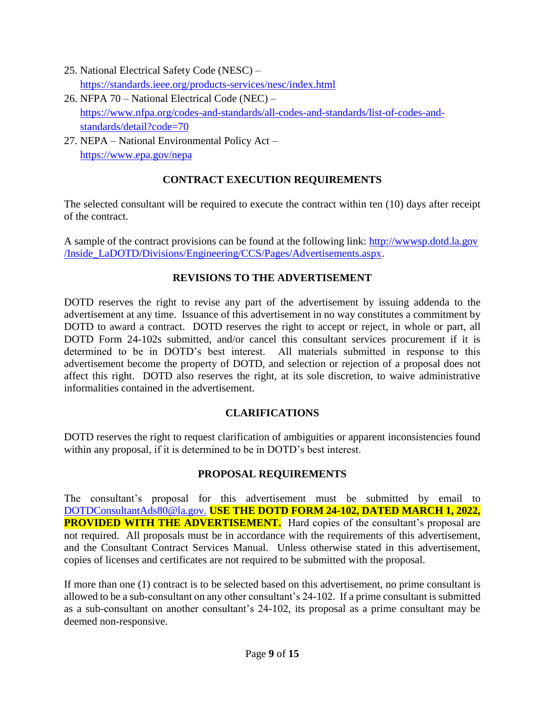- 25. National Electrical Safety Code (NESC) <https://standards.ieee.org/products-services/nesc/index.html>
- 26. NFPA 70 National Electrical Code (NEC) [https://www.nfpa.org/codes-and-standards/all-codes-and-standards/list-of-codes-and](https://www.nfpa.org/codes-and-standards/all-codes-and-standards/list-of-codes-and-standards/detail?code=70)[standards/detail?code=70](https://www.nfpa.org/codes-and-standards/all-codes-and-standards/list-of-codes-and-standards/detail?code=70)
- 27. NEPA National Environmental Policy Act <https://www.epa.gov/nepa>

## **CONTRACT EXECUTION REQUIREMENTS**

The selected consultant will be required to execute the contract within ten (10) days after receipt of the contract.

A sample of the contract provisions can be found at the following link: [http://wwwsp.dotd.la.gov](http://wwwsp.dotd.la.gov/Inside_LaDOTD/Divisions/Engineering/CCS/Pages/Advertisements.aspx) [/Inside\\_LaDOTD/Divisions/Engineering/CCS/Pages/Advertisements.aspx.](http://wwwsp.dotd.la.gov/Inside_LaDOTD/Divisions/Engineering/CCS/Pages/Advertisements.aspx)

## **REVISIONS TO THE ADVERTISEMENT**

DOTD reserves the right to revise any part of the advertisement by issuing addenda to the advertisement at any time. Issuance of this advertisement in no way constitutes a commitment by DOTD to award a contract. DOTD reserves the right to accept or reject, in whole or part, all DOTD Form 24-102s submitted, and/or cancel this consultant services procurement if it is determined to be in DOTD's best interest. All materials submitted in response to this advertisement become the property of DOTD, and selection or rejection of a proposal does not affect this right. DOTD also reserves the right, at its sole discretion, to waive administrative informalities contained in the advertisement.

# **CLARIFICATIONS**

DOTD reserves the right to request clarification of ambiguities or apparent inconsistencies found within any proposal, if it is determined to be in DOTD's best interest.

### **PROPOSAL REQUIREMENTS**

The consultant's proposal for this advertisement must be submitted by email to [DOTDConsultantAds80@la.gov.](mailto:DOTDConsultantAds80@la.gov) **USE THE DOTD FORM 24-102, DATED MARCH 1, 2022, PROVIDED WITH THE ADVERTISEMENT.** Hard copies of the consultant's proposal are not required. All proposals must be in accordance with the requirements of this advertisement, and the Consultant Contract Services Manual. Unless otherwise stated in this advertisement, copies of licenses and certificates are not required to be submitted with the proposal.

If more than one (1) contract is to be selected based on this advertisement, no prime consultant is allowed to be a sub-consultant on any other consultant's 24-102. If a prime consultant is submitted as a sub-consultant on another consultant's 24-102, its proposal as a prime consultant may be deemed non-responsive.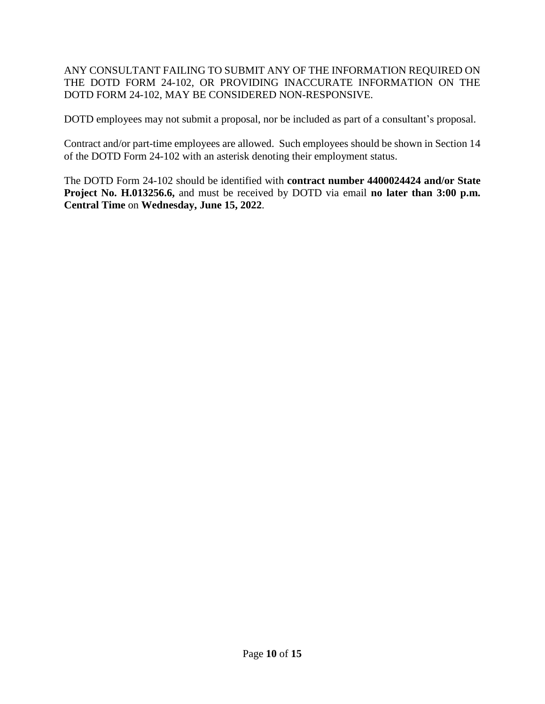### ANY CONSULTANT FAILING TO SUBMIT ANY OF THE INFORMATION REQUIRED ON THE DOTD FORM 24-102, OR PROVIDING INACCURATE INFORMATION ON THE DOTD FORM 24-102, MAY BE CONSIDERED NON-RESPONSIVE.

DOTD employees may not submit a proposal, nor be included as part of a consultant's proposal.

Contract and/or part-time employees are allowed. Such employees should be shown in Section 14 of the DOTD Form 24-102 with an asterisk denoting their employment status.

The DOTD Form 24-102 should be identified with **contract number 4400024424 and/or State Project No. H.013256.6,** and must be received by DOTD via email **no later than 3:00 p.m. Central Time** on **Wednesday, June 15, 2022**.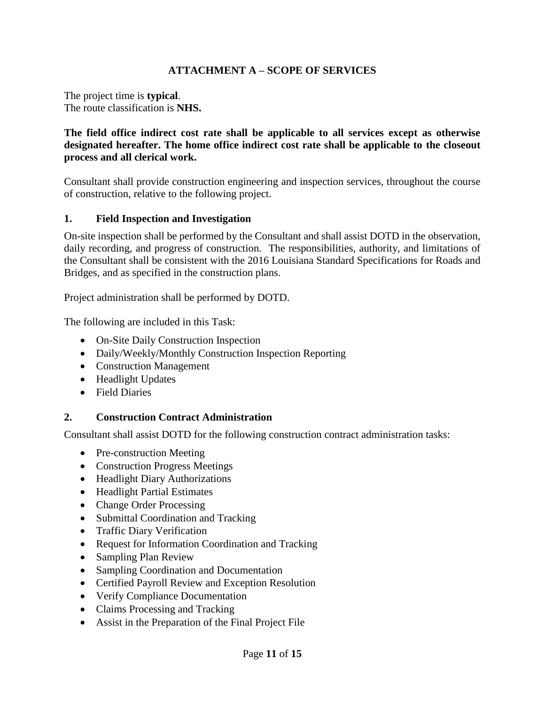### **ATTACHMENT A – SCOPE OF SERVICES**

The project time is **typical**. The route classification is **NHS.**

### **The field office indirect cost rate shall be applicable to all services except as otherwise designated hereafter. The home office indirect cost rate shall be applicable to the closeout process and all clerical work.**

Consultant shall provide construction engineering and inspection services, throughout the course of construction, relative to the following project.

### **1. Field Inspection and Investigation**

On-site inspection shall be performed by the Consultant and shall assist DOTD in the observation, daily recording, and progress of construction. The responsibilities, authority, and limitations of the Consultant shall be consistent with the 2016 Louisiana Standard Specifications for Roads and Bridges, and as specified in the construction plans.

Project administration shall be performed by DOTD.

The following are included in this Task:

- On-Site Daily Construction Inspection
- Daily/Weekly/Monthly Construction Inspection Reporting
- Construction Management
- Headlight Updates
- Field Diaries

### **2. Construction Contract Administration**

Consultant shall assist DOTD for the following construction contract administration tasks:

- Pre-construction Meeting
- Construction Progress Meetings
- Headlight Diary Authorizations
- Headlight Partial Estimates
- Change Order Processing
- Submittal Coordination and Tracking
- Traffic Diary Verification
- Request for Information Coordination and Tracking
- Sampling Plan Review
- Sampling Coordination and Documentation
- Certified Payroll Review and Exception Resolution
- Verify Compliance Documentation
- Claims Processing and Tracking
- Assist in the Preparation of the Final Project File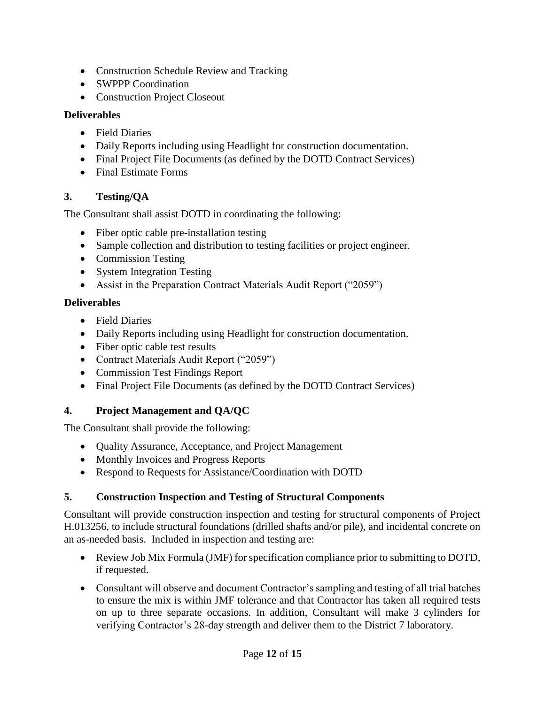- Construction Schedule Review and Tracking
- SWPPP Coordination
- Construction Project Closeout

## **Deliverables**

- Field Diaries
- Daily Reports including using Headlight for construction documentation.
- Final Project File Documents (as defined by the DOTD Contract Services)
- Final Estimate Forms

# **3. Testing/QA**

The Consultant shall assist DOTD in coordinating the following:

- Fiber optic cable pre-installation testing
- Sample collection and distribution to testing facilities or project engineer.
- Commission Testing
- System Integration Testing
- Assist in the Preparation Contract Materials Audit Report ("2059")

## **Deliverables**

- Field Diaries
- Daily Reports including using Headlight for construction documentation.
- Fiber optic cable test results
- Contract Materials Audit Report ("2059")
- Commission Test Findings Report
- Final Project File Documents (as defined by the DOTD Contract Services)

# **4. Project Management and QA/QC**

The Consultant shall provide the following:

- Quality Assurance, Acceptance, and Project Management
- Monthly Invoices and Progress Reports
- Respond to Requests for Assistance/Coordination with DOTD

# **5. Construction Inspection and Testing of Structural Components**

Consultant will provide construction inspection and testing for structural components of Project H.013256, to include structural foundations (drilled shafts and/or pile), and incidental concrete on an as-needed basis. Included in inspection and testing are:

- Review Job Mix Formula (JMF) for specification compliance prior to submitting to DOTD, if requested.
- Consultant will observe and document Contractor's sampling and testing of all trial batches to ensure the mix is within JMF tolerance and that Contractor has taken all required tests on up to three separate occasions. In addition, Consultant will make 3 cylinders for verifying Contractor's 28-day strength and deliver them to the District 7 laboratory.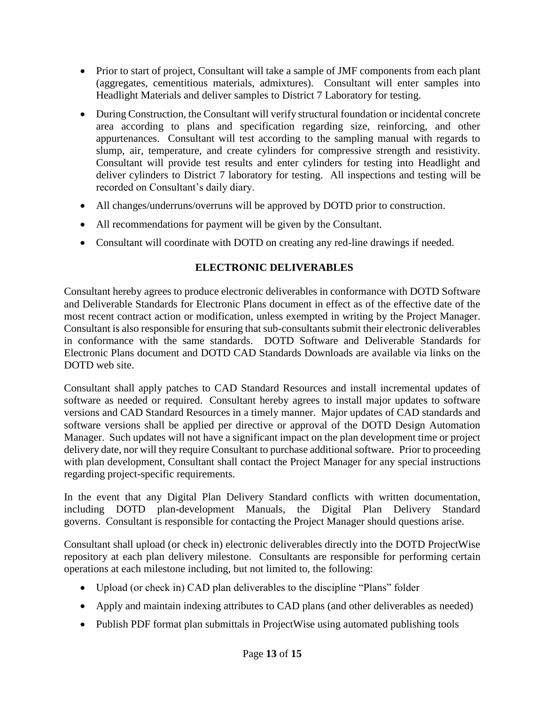- Prior to start of project, Consultant will take a sample of JMF components from each plant (aggregates, cementitious materials, admixtures). Consultant will enter samples into Headlight Materials and deliver samples to District 7 Laboratory for testing.
- During Construction, the Consultant will verify structural foundation or incidental concrete area according to plans and specification regarding size, reinforcing, and other appurtenances. Consultant will test according to the sampling manual with regards to slump, air, temperature, and create cylinders for compressive strength and resistivity. Consultant will provide test results and enter cylinders for testing into Headlight and deliver cylinders to District 7 laboratory for testing. All inspections and testing will be recorded on Consultant's daily diary.
- All changes/underruns/overruns will be approved by DOTD prior to construction.
- All recommendations for payment will be given by the Consultant.
- Consultant will coordinate with DOTD on creating any red-line drawings if needed.

## **ELECTRONIC DELIVERABLES**

Consultant hereby agrees to produce electronic deliverables in conformance with DOTD Software and Deliverable Standards for Electronic Plans document in effect as of the effective date of the most recent contract action or modification, unless exempted in writing by the Project Manager. Consultant is also responsible for ensuring that sub-consultants submit their electronic deliverables in conformance with the same standards. DOTD Software and Deliverable Standards for Electronic Plans document and DOTD CAD Standards Downloads are available via links on the DOTD web site.

Consultant shall apply patches to CAD Standard Resources and install incremental updates of software as needed or required. Consultant hereby agrees to install major updates to software versions and CAD Standard Resources in a timely manner. Major updates of CAD standards and software versions shall be applied per directive or approval of the DOTD Design Automation Manager. Such updates will not have a significant impact on the plan development time or project delivery date, nor will they require Consultant to purchase additional software. Prior to proceeding with plan development, Consultant shall contact the Project Manager for any special instructions regarding project-specific requirements.

In the event that any Digital Plan Delivery Standard conflicts with written documentation, including DOTD plan-development Manuals, the Digital Plan Delivery Standard governs. Consultant is responsible for contacting the Project Manager should questions arise.

Consultant shall upload (or check in) electronic deliverables directly into the DOTD ProjectWise repository at each plan delivery milestone. Consultants are responsible for performing certain operations at each milestone including, but not limited to, the following:

- Upload (or check in) CAD plan deliverables to the discipline "Plans" folder
- Apply and maintain indexing attributes to CAD plans (and other deliverables as needed)
- Publish PDF format plan submittals in ProjectWise using automated publishing tools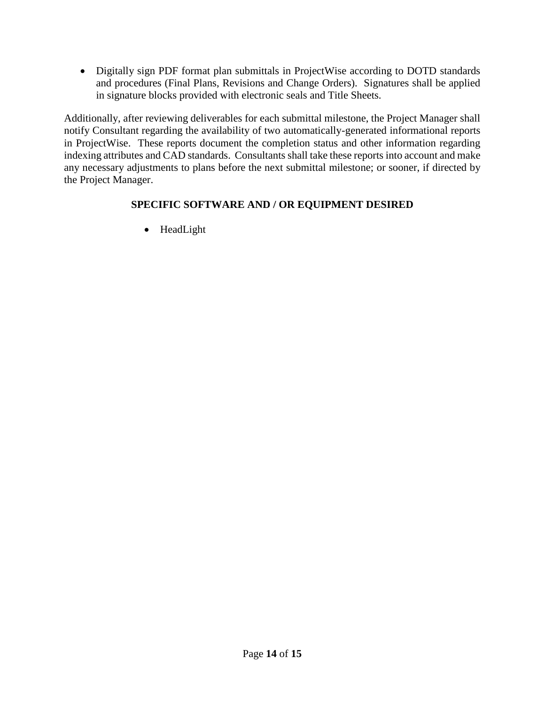Digitally sign PDF format plan submittals in ProjectWise according to DOTD standards and procedures (Final Plans, Revisions and Change Orders). Signatures shall be applied in signature blocks provided with electronic seals and Title Sheets.

Additionally, after reviewing deliverables for each submittal milestone, the Project Manager shall notify Consultant regarding the availability of two automatically-generated informational reports in ProjectWise. These reports document the completion status and other information regarding indexing attributes and CAD standards. Consultants shall take these reports into account and make any necessary adjustments to plans before the next submittal milestone; or sooner, if directed by the Project Manager.

### **SPECIFIC SOFTWARE AND / OR EQUIPMENT DESIRED**

• HeadLight